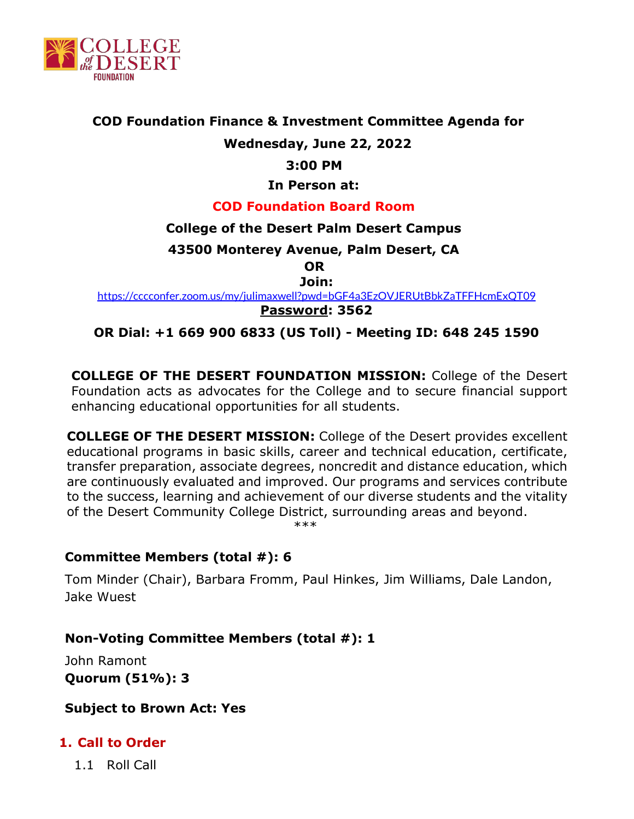

#### **COD Foundation Finance & Investment Committee Agenda for**

# **Wednesday, June 22, 2022**

#### **3:00 PM**

#### **In Person at:**

#### **COD Foundation Board Room**

#### **College of the Desert Palm Desert Campus**

**43500 Monterey Avenue, Palm Desert, CA** 

**OR**

**Join:**

<https://cccconfer.zoom.us/my/julimaxwell?pwd=bGF4a3EzOVJERUtBbkZaTFFHcmExQT09> **Password: 3562**

#### **OR Dial: +1 669 900 6833 (US Toll) - Meeting ID: 648 245 1590**

**COLLEGE OF THE DESERT FOUNDATION MISSION:** College of the Desert Foundation acts as advocates for the College and to secure financial support enhancing educational opportunities for all students.

**COLLEGE OF THE DESERT MISSION:** College of the Desert provides excellent educational programs in basic skills, career and technical education, certificate, transfer preparation, associate degrees, noncredit and distance education, which are continuously evaluated and improved. Our programs and services contribute to the success, learning and achievement of our diverse students and the vitality of the Desert Community College District, surrounding areas and beyond.

\*\*\*

### **Committee Members (total #): 6**

Tom Minder (Chair), Barbara Fromm, Paul Hinkes, Jim Williams, Dale Landon, Jake Wuest

### **Non-Voting Committee Members (total #): 1**

John Ramont **Quorum (51%): 3**

#### **Subject to Brown Act: Yes**

### **1. Call to Order**

1.1 Roll Call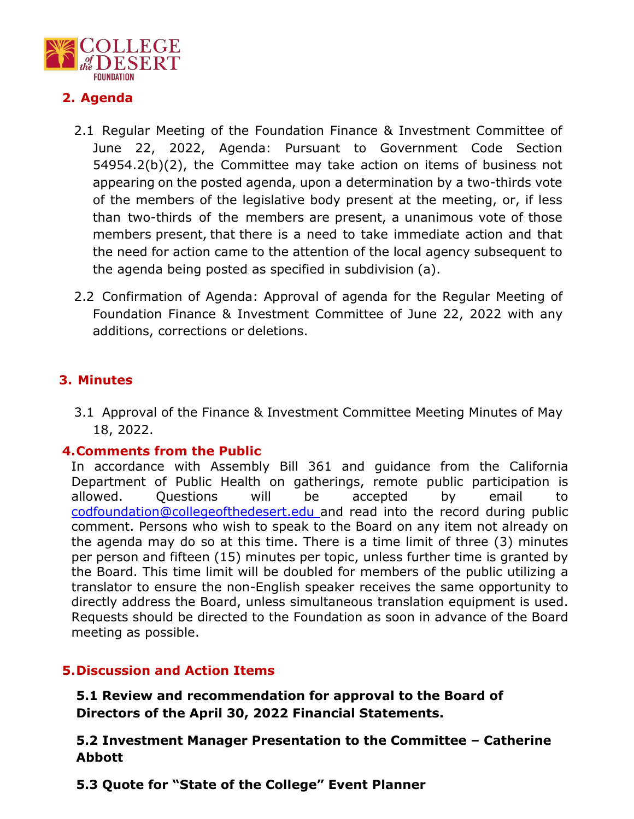

# **2. Agenda**

- 2.1 Regular Meeting of the Foundation Finance & Investment Committee of June 22, 2022, Agenda: Pursuant to Government Code Section 54954.2(b)(2), the Committee may take action on items of business not appearing on the posted agenda, upon a determination by a two-thirds vote of the members of the legislative body present at the meeting, or, if less than two-thirds of the members are present, a unanimous vote of those members present, that there is a need to take immediate action and that the need for action came to the attention of the local agency subsequent to the agenda being posted as specified in subdivision (a).
- 2.2 Confirmation of Agenda: Approval of agenda for the Regular Meeting of Foundation Finance & Investment Committee of June 22, 2022 with any additions, corrections or deletions.

# **3. Minutes**

3.1 Approval of the Finance & Investment Committee Meeting Minutes of May 18, 2022.

#### **4.Comments from the Public**

In accordance with Assembly Bill 361 and guidance from the California Department of Public Health on gatherings, remote public participation is allowed. Questions will be accepted by email to [codfoundation@collegeofthedesert.edu a](mailto:codfoundation@collegeofthedesert.edu)nd read into the record during public comment. Persons who wish to speak to the Board on any item not already on the agenda may do so at this time. There is a time limit of three (3) minutes per person and fifteen (15) minutes per topic, unless further time is granted by the Board. This time limit will be doubled for members of the public utilizing a translator to ensure the non-English speaker receives the same opportunity to directly address the Board, unless simultaneous translation equipment is used. Requests should be directed to the Foundation as soon in advance of the Board meeting as possible.

### **5.Discussion and Action Items**

**5.1 Review and recommendation for approval to the Board of Directors of the April 30, 2022 Financial Statements.**

**5.2 Investment Manager Presentation to the Committee – Catherine Abbott**

**5.3 Quote for "State of the College" Event Planner**